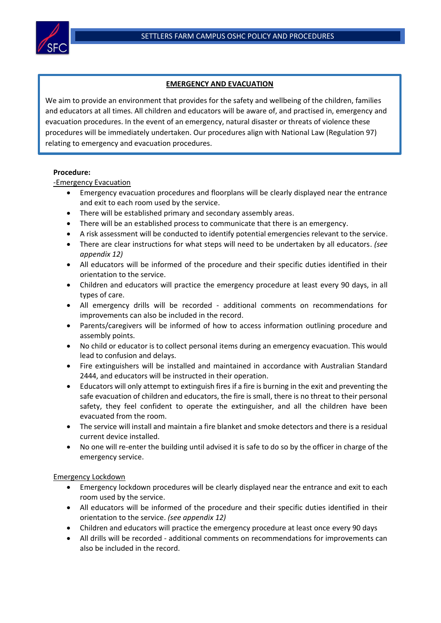

## **EMERGENCY AND EVACUATION**

We aim to provide an environment that provides for the safety and wellbeing of the children, families and educators at all times. All children and educators will be aware of, and practised in, emergency and evacuation procedures. In the event of an emergency, natural disaster or threats of violence these procedures will be immediately undertaken. Our procedures align with National Law (Regulation 97) relating to emergency and evacuation procedures.

## **Procedure:**

-Emergency Evacuation

- Emergency evacuation procedures and floorplans will be clearly displayed near the entrance and exit to each room used by the service.
- There will be established primary and secondary assembly areas.
- There will be an established process to communicate that there is an emergency.
- A risk assessment will be conducted to identify potential emergencies relevant to the service.
- There are clear instructions for what steps will need to be undertaken by all educators. *(see appendix 12)*
- All educators will be informed of the procedure and their specific duties identified in their orientation to the service.
- Children and educators will practice the emergency procedure at least every 90 days, in all types of care.
- All emergency drills will be recorded additional comments on recommendations for improvements can also be included in the record.
- Parents/caregivers will be informed of how to access information outlining procedure and assembly points.
- No child or educator is to collect personal items during an emergency evacuation. This would lead to confusion and delays.
- Fire extinguishers will be installed and maintained in accordance with Australian Standard 2444, and educators will be instructed in their operation.
- Educators will only attempt to extinguish fires if a fire is burning in the exit and preventing the safe evacuation of children and educators, the fire is small, there is no threat to their personal safety, they feel confident to operate the extinguisher, and all the children have been evacuated from the room.
- The service will install and maintain a fire blanket and smoke detectors and there is a residual current device installed.
- No one will re-enter the building until advised it is safe to do so by the officer in charge of the emergency service.

## Emergency Lockdown

- Emergency lockdown procedures will be clearly displayed near the entrance and exit to each room used by the service.
- All educators will be informed of the procedure and their specific duties identified in their orientation to the service. *(see appendix 12)*
- Children and educators will practice the emergency procedure at least once every 90 days
- All drills will be recorded additional comments on recommendations for improvements can also be included in the record.